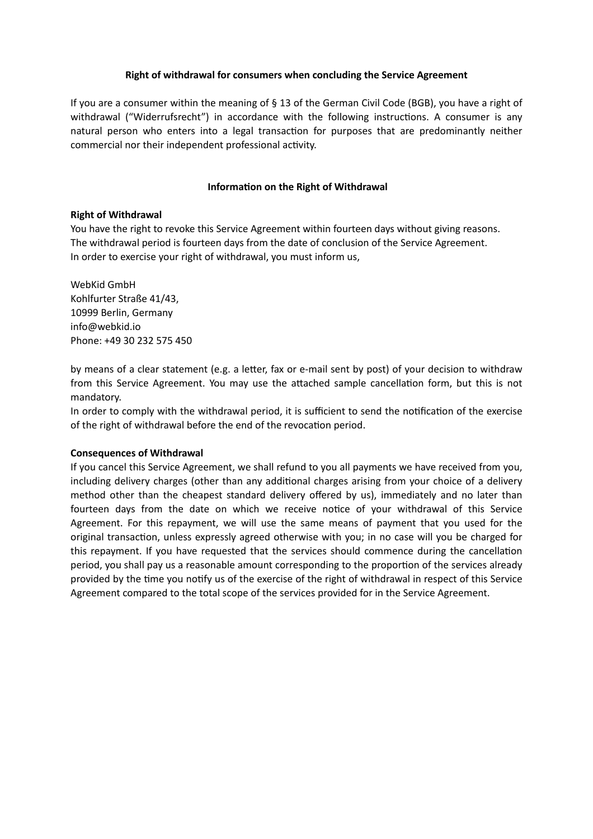### **Right of withdrawal for consumers when concluding the Service Agreement**

If you are a consumer within the meaning of § 13 of the German Civil Code (BGB), you have a right of withdrawal ("Widerrufsrecht") in accordance with the following instructions. A consumer is any natural person who enters into a legal transaction for purposes that are predominantly neither commercial nor their independent professional activity.

## **Information on the Right of Withdrawal**

### **Right of Withdrawal**

You have the right to revoke this Service Agreement within fourteen days without giving reasons. The withdrawal period is fourteen days from the date of conclusion of the Service Agreement. In order to exercise your right of withdrawal, you must inform us,

WebKid GmbH Kohlfurter Straße 41/43, 10999 Berlin, Germany info@webkid.io Phone: +49 30 232 575 450

by means of a clear statement (e.g. a letter, fax or e-mail sent by post) of your decision to withdraw from this Service Agreement. You may use the attached sample cancellation form, but this is not mandatory.

In order to comply with the withdrawal period, it is sufficient to send the notification of the exercise of the right of withdrawal before the end of the revocation period.

### **Consequences of Withdrawal**

If you cancel this Service Agreement, we shall refund to you all payments we have received from you, including delivery charges (other than any additional charges arising from your choice of a delivery method other than the cheapest standard delivery offered by us), immediately and no later than fourteen days from the date on which we receive notice of your withdrawal of this Service Agreement. For this repayment, we will use the same means of payment that you used for the original transaction, unless expressly agreed otherwise with you; in no case will you be charged for this repayment. If you have requested that the services should commence during the cancellation period, you shall pay us a reasonable amount corresponding to the proportion of the services already provided by the time you notify us of the exercise of the right of withdrawal in respect of this Service Agreement compared to the total scope of the services provided for in the Service Agreement.